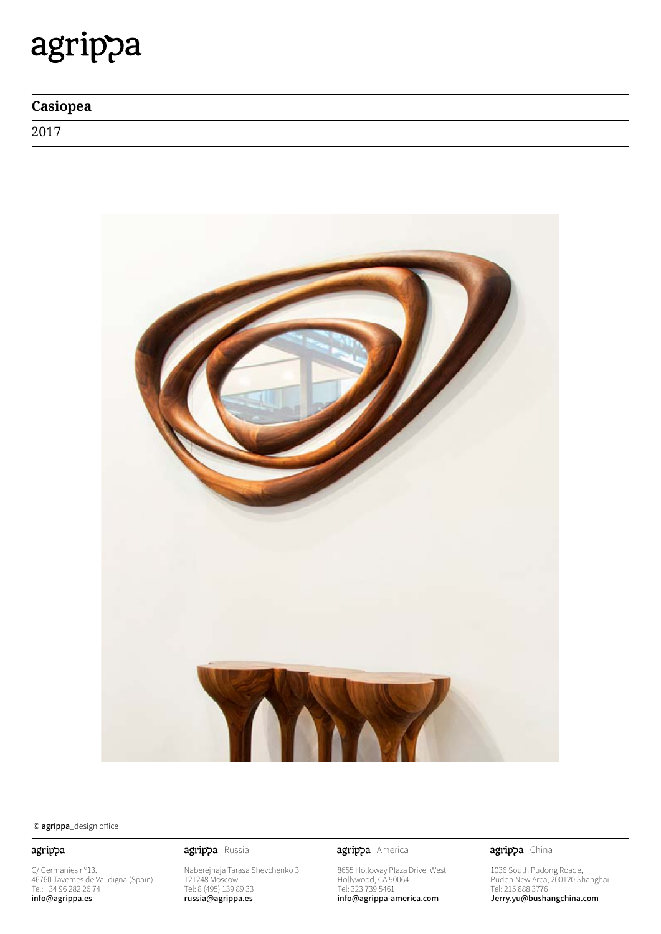# agrippa

| Casiopea |  |
|----------|--|
| 2017     |  |



© agrippa\_design office

### agrippa

C/ Germanies nº13. 46760 Tavernes de Valldigna (Spain) Tel: +34 96 282 26 74 info@agrippa.es

Naberejnaja Tarasa Shevchenko 3 121248 Moscow Tel: 8 (495) 139 89 33 russia@agrippa.es

agrippa\_Russia **agrippa**\_America

8655 Holloway Plaza Drive, West Hollywood, CA 90064 Tel: 323 739 5461 info@agrippa-america.com

agrippa\_China

1036 South Pudong Roade, Pudon New Area, 200120 Shanghai Tel: 215 888 3776 Jerry.yu@bushangchina.com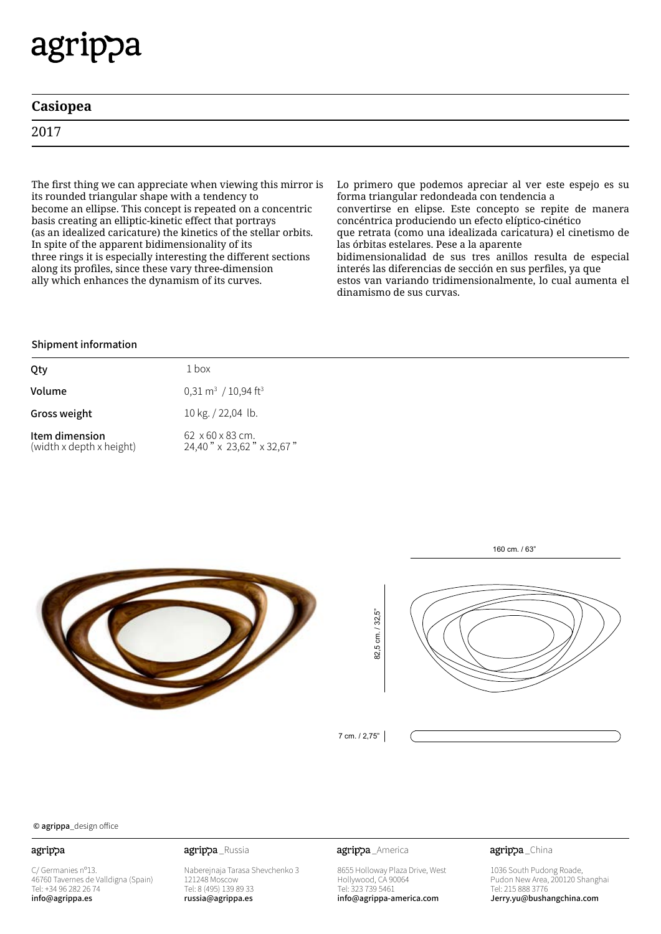# agrippa

| Casiopea  |                                    |   |  |  |     |                             |  |         |  |
|-----------|------------------------------------|---|--|--|-----|-----------------------------|--|---------|--|
| 2017      |                                    |   |  |  |     |                             |  |         |  |
|           |                                    |   |  |  |     |                             |  |         |  |
| $-1$ $-1$ | $\sim$ $\sim$ $\sim$ $\sim$ $\sim$ | . |  |  | . . | $\sim$ $\sim$ $\sim$ $\sim$ |  | $\cdot$ |  |

The first thing we can appreciate when viewing this mirror is its rounded triangular shape with a tendency to become an ellipse. This concept is repeated on a concentric basis creating an elliptic-kinetic effect that portrays (as an idealized caricature) the kinetics of the stellar orbits. In spite of the apparent bidimensionality of its three rings it is especially interesting the different sections along its profiles, since these vary three-dimension ally which enhances the dynamism of its curves.

Lo primero que podemos apreciar al ver este espejo es su forma triangular redondeada con tendencia a convertirse en elipse. Este concepto se repite de manera concéntrica produciendo un efecto elíptico-cinético que retrata (como una idealizada caricatura) el cinetismo de las órbitas estelares. Pese a la aparente bidimensionalidad de sus tres anillos resulta de especial interés las diferencias de sección en sus perfiles, ya que estos van variando tridimensionalmente, lo cual aumenta el dinamismo de sus curvas.

# Shipment information

| Qty                                        | 1 box                                                    |
|--------------------------------------------|----------------------------------------------------------|
| Volume                                     | $0,31 \text{ m}^3 / 10,94 \text{ ft}^3$                  |
| Gross weight                               | 10 kg. / 22,04 lb.                                       |
| Item dimension<br>(width x depth x height) | $62 \times 60 \times 83$ cm.<br>24,40" x 23,62" x 32,67" |





160 cm. / 63"

7 cm. / 2,75"

### © agrippa\_design office

### agrippa

C/ Germanies nº13. 46760 Tavernes de Valldigna (Spain) Tel: +34 96 282 26 74 info@agrippa.es

Naberejnaja Tarasa Shevchenko 3 121248 Moscow Tel: 8 (495) 139 89 33 russia@agrippa.es

agrippa Russia **agrippa** America

8655 Holloway Plaza Drive, West Hollywood, CA 90064 Tel: 323 739 5461 info@agrippa-america.com

agrippa\_China

1036 South Pudong Roade, Pudon New Area, 200120 Shanghai Tel: 215 888 3776 Jerry.yu@bushangchina.com